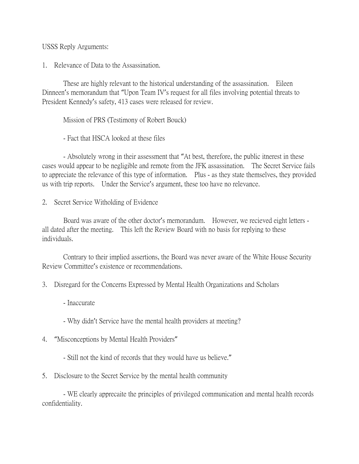USSS Reply Arguments:

1. Relevance of Data to the Assassination.

These are highly relevant to the historical understanding of the assassination. Eileen Dinneen's memorandum that "Upon Team IV's request for all files involving potential threats to President Kennedy's safety, 413 cases were released for review.

Mission of PRS (Testimony of Robert Bouck)

- Fact that HSCA looked at these files

- Absolutely wrong in their assessment that "At best, therefore, the public itnerest in these cases would appear to be negligible and remote from the JFK assassination. The Secret Service fails to appreciate the relevance of this type of information. Plus - as they state themselves, they provided us with trip reports. Under the Service's argument, these too have no relevance.

2. Secret Service Witholding of Evidence

Board was aware of the other doctor's memorandum. However, we recieved eight letters all dated after the meeting. This left the Review Board with no basis for replying to these individuals.

Contrary to their implied assertions, the Board was never aware of the White House Security Review Committee's existence or recommendations.

- 3. Disregard for the Concerns Expressed by Mental Health Organizations and Scholars
	- Inaccurate
	- Why didn't Service have the mental health providers at meeting?
- 4. "Misconceptions by Mental Health Providers"
	- Still not the kind of records that they would have us believe."
- 5. Disclosure to the Secret Service by the mental health community

- WE clearly apprecaite the principles of privileged communication and mental health records confidentiality.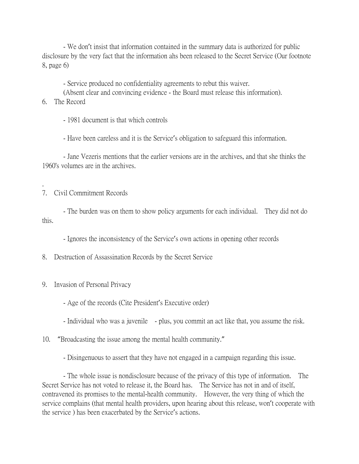- We don't insist that information contained in the summary data is authorized for public disclosure by the very fact that the information ahs been released to the Secret Service (Our footnote 8, page 6)

- Service produced no confidentiality agreements to rebut this waiver.

- (Absent clear and convincing evidence the Board must release this information).
- 6. The Record

.

- 1981 document is that which controls

- Have been careless and it is the Service's obligation to safeguard this information.

- Jane Vezeris mentions that the earlier versions are in the archives, and that she thinks the 1960's volumes are in the archives.

## 7. Civil Commitment Records

- The burden was on them to show policy arguments for each individual. They did not do this.

- Ignores the inconsistency of the Service's own actions in opening other records

8. Destruction of Assassination Records by the Secret Service

- 9. Invasion of Personal Privacy
	- Age of the records (Cite President's Executive order)
	- Individual who was a juvenile plus, you commit an act like that, you assume the risk.
- 10. "Broadcasting the issue among the mental health community."
	- Disingenuous to assert that they have not engaged in a campaign regarding this issue.

- The whole issue is nondisclosure because of the privacy of this type of information. The Secret Service has not voted to release it, the Board has. The Service has not in and of itself, contravened its promises to the mental-health community. However, the very thing of which the service complains (that mental health providers, upon hearing about this release, won't cooperate with the service ) has been exacerbated by the Service's actions.